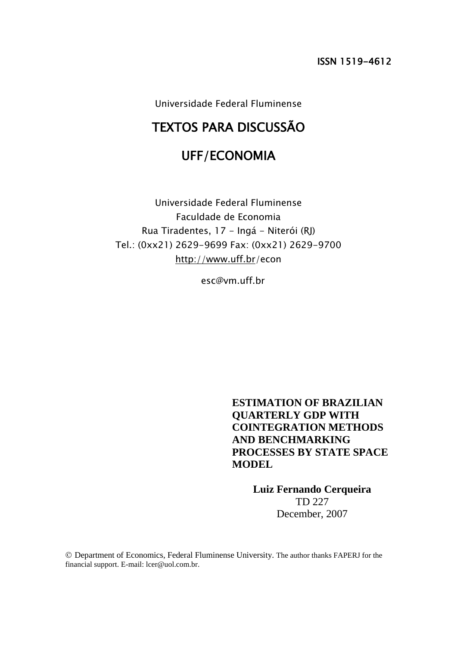Universidade Federal Fluminense

# TEXTOS PARA DISCUSSÃO

## UFF/ECONOMIA

Universidade Federal Fluminense Faculdade de Economia Rua Tiradentes, 17 - Ingá - Niterói (RJ) Tel.: (0xx21) 2629-9699 Fax: (0xx21) 2629-9700 <http://www.uff.br/>econ

esc@vm.uff.br

**ESTIMATION OF BRAZILIAN QUARTERLY GDP WITH COINTEGRATION METHODS AND BENCHMARKING PROCESSES BY STATE SPACE MODEL**

> **Luiz Fernando Cerqueira** TD 227 December, 2007

© Department of Economics, Federal Fluminense University. The author thanks FAPERJ for the financial support. E-mail: lcer@uol.com.br.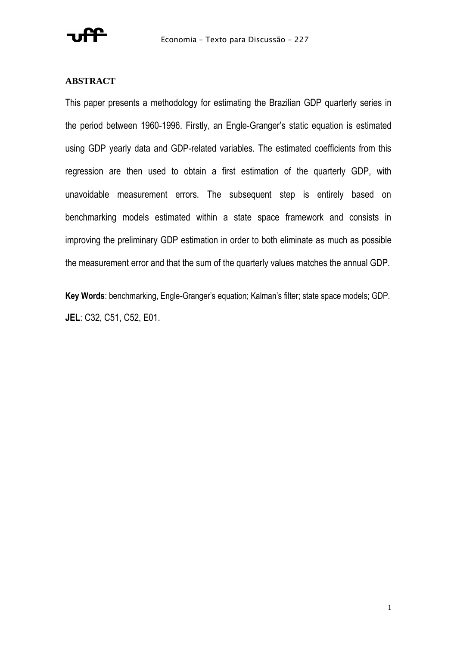

### **ABSTRACT**

This paper presents a methodology for estimating the Brazilian GDP quarterly series in the period between 1960-1996. Firstly, an Engle-Granger's static equation is estimated using GDP yearly data and GDP-related variables. The estimated coefficients from this regression are then used to obtain a first estimation of the quarterly GDP, with unavoidable measurement errors. The subsequent step is entirely based on benchmarking models estimated within a state space framework and consists in improving the preliminary GDP estimation in order to both eliminate as much as possible the measurement error and that the sum of the quarterly values matches the annual GDP.

**Key Words**: benchmarking, Engle-Granger's equation; Kalman's filter; state space models; GDP. **JEL**: C32, C51, C52, E01.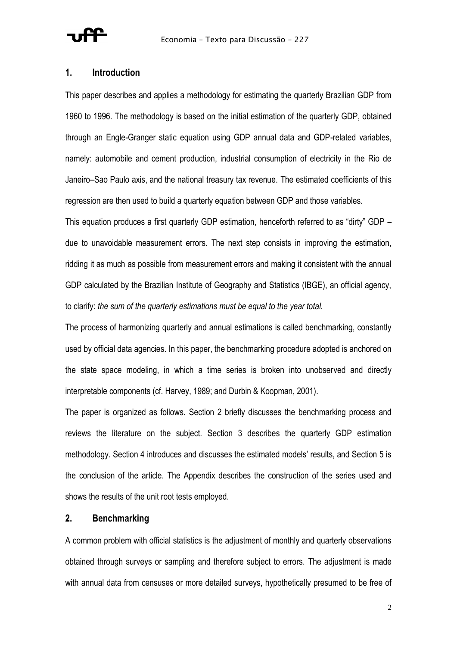

### **1. Introduction**

This paper describes and applies a methodology for estimating the quarterly Brazilian GDP from 1960 to 1996. The methodology is based on the initial estimation of the quarterly GDP, obtained through an Engle-Granger static equation using GDP annual data and GDP-related variables, namely: automobile and cement production, industrial consumption of electricity in the Rio de Janeiro–Sao Paulo axis, and the national treasury tax revenue. The estimated coefficients of this regression are then used to build a quarterly equation between GDP and those variables.

This equation produces a first quarterly GDP estimation, henceforth referred to as "dirty" GDP – due to unavoidable measurement errors. The next step consists in improving the estimation, ridding it as much as possible from measurement errors and making it consistent with the annual GDP calculated by the Brazilian Institute of Geography and Statistics (IBGE), an official agency, to clarify: *the sum of the quarterly estimations must be equal to the year total.*

The process of harmonizing quarterly and annual estimations is called benchmarking, constantly used by official data agencies. In this paper, the benchmarking procedure adopted is anchored on the state space modeling, in which a time series is broken into unobserved and directly interpretable components (cf. Harvey, 1989; and Durbin & Koopman, 2001).

The paper is organized as follows. Section 2 briefly discusses the benchmarking process and reviews the literature on the subject. Section 3 describes the quarterly GDP estimation methodology. Section 4 introduces and discusses the estimated models' results, and Section 5 is the conclusion of the article. The Appendix describes the construction of the series used and shows the results of the unit root tests employed.

### **2. Benchmarking**

A common problem with official statistics is the adjustment of monthly and quarterly observations obtained through surveys or sampling and therefore subject to errors. The adjustment is made with annual data from censuses or more detailed surveys, hypothetically presumed to be free of

2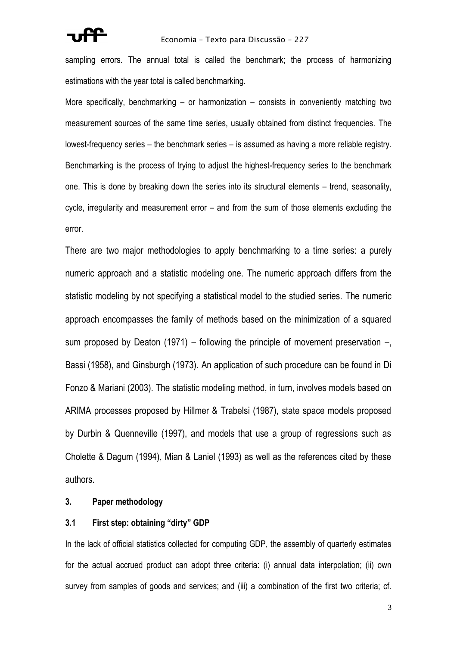#### Economia – Texto para Discussão – 227

sampling errors. The annual total is called the benchmark; the process of harmonizing estimations with the year total is called benchmarking.

More specifically, benchmarking – or harmonization – consists in conveniently matching two measurement sources of the same time series, usually obtained from distinct frequencies. The lowest-frequency series – the benchmark series – is assumed as having a more reliable registry. Benchmarking is the process of trying to adjust the highest-frequency series to the benchmark one. This is done by breaking down the series into its structural elements – trend, seasonality, cycle, irregularity and measurement error – and from the sum of those elements excluding the error.

There are two major methodologies to apply benchmarking to a time series: a purely numeric approach and a statistic modeling one. The numeric approach differs from the statistic modeling by not specifying a statistical model to the studied series. The numeric approach encompasses the family of methods based on the minimization of a squared sum proposed by Deaton (1971) – following the principle of movement preservation –, Bassi (1958), and Ginsburgh (1973). An application of such procedure can be found in Di Fonzo & Mariani (2003). The statistic modeling method, in turn, involves models based on ARIMA processes proposed by Hillmer & Trabelsi (1987), state space models proposed by Durbin & Quenneville (1997), and models that use a group of regressions such as Cholette & Dagum (1994), Mian & Laniel (1993) as well as the references cited by these authors.

### **3. Paper methodology**

### **3.1 First step: obtaining "dirty" GDP**

In the lack of official statistics collected for computing GDP, the assembly of quarterly estimates for the actual accrued product can adopt three criteria: (i) annual data interpolation; (ii) own survey from samples of goods and services; and (iii) a combination of the first two criteria; cf.

3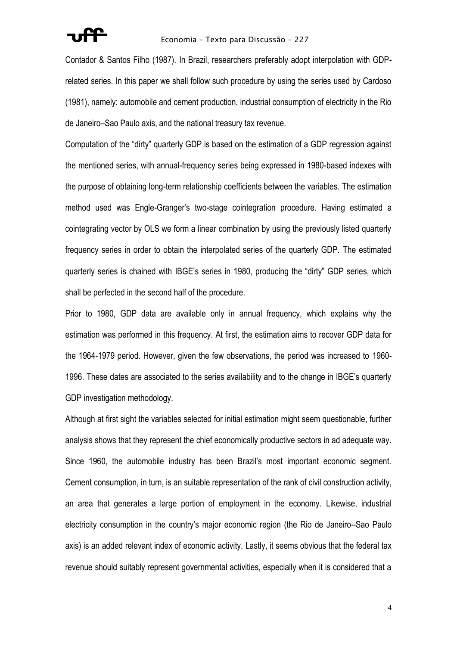Contador & Santos Filho (1987). In Brazil, researchers preferably adopt interpolation with GDPrelated series. In this paper we shall follow such procedure by using the series used by Cardoso (1981), namely: automobile and cement production, industrial consumption of electricity in the Rio de Janeiro–Sao Paulo axis, and the national treasury tax revenue.

Computation of the "dirty" quarterly GDP is based on the estimation of a GDP regression against the mentioned series, with annual-frequency series being expressed in 1980-based indexes with the purpose of obtaining long-term relationship coefficients between the variables. The estimation method used was Engle-Granger's two-stage cointegration procedure. Having estimated a cointegrating vector by OLS we form a linear combination by using the previously listed quarterly frequency series in order to obtain the interpolated series of the quarterly GDP. The estimated quarterly series is chained with IBGE's series in 1980, producing the "dirty" GDP series, which shall be perfected in the second half of the procedure.

Prior to 1980, GDP data are available only in annual frequency, which explains why the estimation was performed in this frequency. At first, the estimation aims to recover GDP data for the 1964-1979 period. However, given the few observations, the period was increased to 1960- 1996. These dates are associated to the series availability and to the change in IBGE's quarterly GDP investigation methodology.

Although at first sight the variables selected for initial estimation might seem questionable, further analysis shows that they represent the chief economically productive sectors in ad adequate way. Since 1960, the automobile industry has been Brazil's most important economic segment. Cement consumption, in turn, is an suitable representation of the rank of civil construction activity, an area that generates a large portion of employment in the economy. Likewise, industrial electricity consumption in the country's major economic region (the Rio de Janeiro–Sao Paulo axis) is an added relevant index of economic activity. Lastly, it seems obvious that the federal tax revenue should suitably represent governmental activities, especially when it is considered that a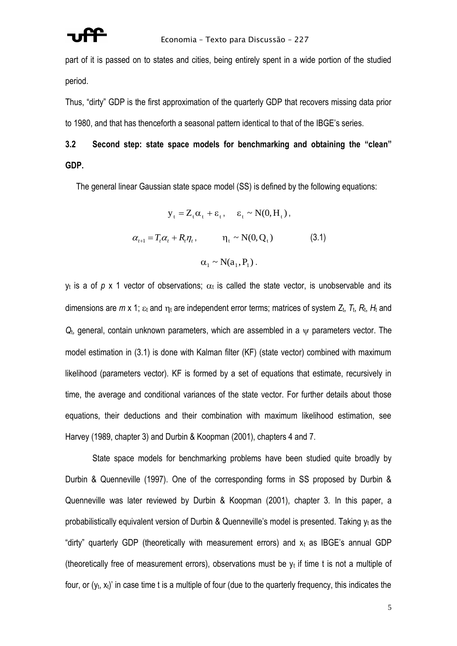part of it is passed on to states and cities, being entirely spent in a wide portion of the studied period.

Thus, "dirty" GDP is the first approximation of the quarterly GDP that recovers missing data prior to 1980, and that has thenceforth a seasonal pattern identical to that of the IBGE's series.

# **3.2 Second step: state space models for benchmarking and obtaining the "clean" GDP.**

The general linear Gaussian state space model (SS) is defined by the following equations:

$$
y_{t} = Z_{t}\alpha_{t} + \varepsilon_{t}, \quad \varepsilon_{t} \sim N(0, H_{t}),
$$
  

$$
\alpha_{t+1} = T_{t}\alpha_{t} + R_{t}\eta_{t}, \qquad \eta_{t} \sim N(0, Q_{t})
$$
(3.1)  

$$
\alpha_{t} \sim N(a_{t}, P_{t}).
$$

 $y_t$  is a of  $p \times 1$  vector of observations;  $\alpha_t$  is called the state vector, is unobservable and its dimensions are  $m \times 1$ ;  $\varepsilon_t$  and  $\eta_t$  are independent error terms; matrices of system  $Z_t$ ,  $T_t$ ,  $R_t$ ,  $H_t$  and  $Q_t$ , general, contain unknown parameters, which are assembled in a  $\psi$  parameters vector. The model estimation in (3.1) is done with Kalman filter (KF) (state vector) combined with maximum likelihood (parameters vector). KF is formed by a set of equations that estimate, recursively in time, the average and conditional variances of the state vector. For further details about those equations, their deductions and their combination with maximum likelihood estimation, see Harvey (1989, chapter 3) and Durbin & Koopman (2001), chapters 4 and 7.

State space models for benchmarking problems have been studied quite broadly by Durbin & Quenneville (1997). One of the corresponding forms in SS proposed by Durbin & Quenneville was later reviewed by Durbin & Koopman (2001), chapter 3. In this paper, a probabilistically equivalent version of Durbin & Quenneville's model is presented. Taking  $y_t$  as the "dirty" quarterly GDP (theoretically with measurement errors) and  $x_t$  as IBGE's annual GDP (theoretically free of measurement errors), observations must be  $y_t$  if time t is not a multiple of four, or  $(y_t, x_t)$ ' in case time t is a multiple of four (due to the quarterly frequency, this indicates the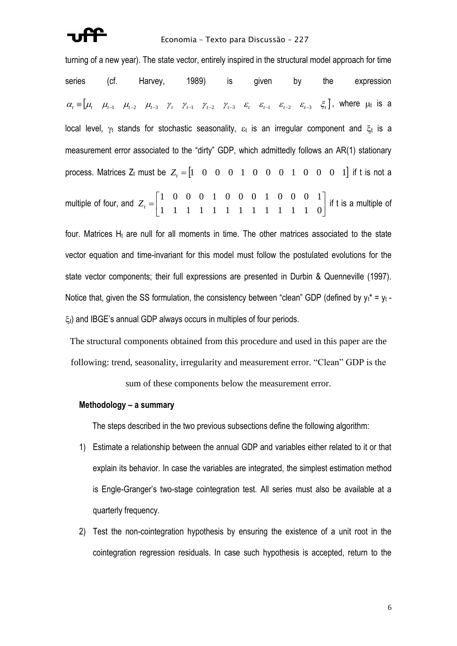turning of a new year). The state vector, entirely inspired in the structural model approach for time series (cf. Harvey, 1989) is given by the expression  $\alpha_{\iota} \equiv \begin{bmatrix} \mu_{\iota} & \mu_{\iota-1} & \mu_{\iota-2} & \mu_{\iota-3} & \gamma_{\iota} & \gamma_{\iota-1} & \gamma_{\iota-2} & \gamma_{\iota-3} & \varepsilon_{\iota} & \varepsilon_{\iota-1} & \varepsilon_{\iota-2} & \varepsilon_{\iota-3} & \varepsilon_{\iota} \end{bmatrix}$ , where  $\mu_{\iota}$  is a local level,  $\gamma_t$  stands for stochastic seasonality,  $\varepsilon_t$  is an irregular component and  $\xi_t$  is a measurement error associated to the "dirty" GDP, which admittedly follows an AR(1) stationary process. Matrices  $Z_t$  must be  $Z_t = \begin{bmatrix} 1 & 0 & 0 & 0 & 1 & 0 & 0 & 0 & 1 & 0 & 0 & 0 & 1 \end{bmatrix}$  if t is not a multiple of four, and  $\overline{\phantom{a}}$  $\overline{\phantom{a}}$ 1  $\mathbf{r}$ L  $=\begin{bmatrix} 1 & 0 & 0 & 0 & 1 & 0 & 0 & 0 & 1 & 0 & 0 & 0 & 1 \\ 1 & 1 & 1 & 1 & 1 & 1 & 1 & 1 & 1 & 1 & 1 & 1 & 0 \\ 0 & 0 & 0 & 0 & 0 & 0 & 0 & 0 & 0 & 0 & 0 & 0 \\ 0 & 0 & 0 & 0 & 0 & 0 & 0 & 0 & 0 & 0 & 0 & 0 \\ 0 & 0 & 0 & 0 & 0 & 0 & 0 & 0 & 0 & 0 & 0 & 0 \\ 0 & 0 & 0 & 0 & 0 & 0 & 0 & 0 & 0 &$ 1 0 0 0 1 0 0 0 1 0 0 0 1 *Zt* if t is a multiple of

four. Matrices  $H_t$  are null for all moments in time. The other matrices associated to the state vector equation and time-invariant for this model must follow the postulated evolutions for the state vector components; their full expressions are presented in Durbin & Quenneville (1997). Notice that, given the SS formulation, the consistency between "clean" GDP (defined by  $y_t^* = y_t - y_t$  $\xi_t$ ) and IBGE's annual GDP always occurs in multiples of four periods.

The structural components obtained from this procedure and used in this paper are the following: trend, seasonality, irregularity and measurement error. "Clean" GDP is the

sum of these components below the measurement error.

#### **Methodology – a summary**

The steps described in the two previous subsections define the following algorithm:

- 1) Estimate a relationship between the annual GDP and variables either related to it or that explain its behavior. In case the variables are integrated, the simplest estimation method is Engle-Granger's two-stage cointegration test. All series must also be available at a quarterly frequency.
- 2) Test the non-cointegration hypothesis by ensuring the existence of a unit root in the cointegration regression residuals. In case such hypothesis is accepted, return to the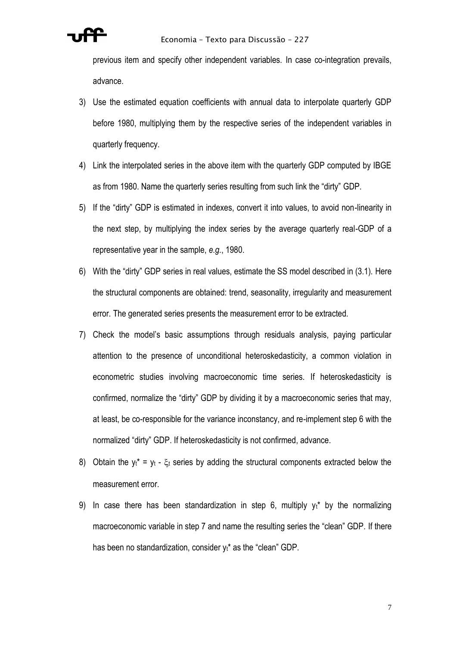

previous item and specify other independent variables. In case co-integration prevails, advance.

- 3) Use the estimated equation coefficients with annual data to interpolate quarterly GDP before 1980, multiplying them by the respective series of the independent variables in quarterly frequency.
- 4) Link the interpolated series in the above item with the quarterly GDP computed by IBGE as from 1980. Name the quarterly series resulting from such link the "dirty" GDP.
- 5) If the "dirty" GDP is estimated in indexes, convert it into values, to avoid non-linearity in the next step, by multiplying the index series by the average quarterly real-GDP of a representative year in the sample, *e.g.*, 1980.
- 6) With the "dirty" GDP series in real values, estimate the SS model described in (3.1). Here the structural components are obtained: trend, seasonality, irregularity and measurement error. The generated series presents the measurement error to be extracted.
- 7) Check the model's basic assumptions through residuals analysis, paying particular attention to the presence of unconditional heteroskedasticity, a common violation in econometric studies involving macroeconomic time series. If heteroskedasticity is confirmed, normalize the "dirty" GDP by dividing it by a macroeconomic series that may, at least, be co-responsible for the variance inconstancy, and re-implement step 6 with the normalized "dirty" GDP. If heteroskedasticity is not confirmed, advance.
- 8) Obtain the  $y_t^* = y_t \xi_t$  series by adding the structural components extracted below the measurement error.
- 9) In case there has been standardization in step 6, multiply  $y_t^*$  by the normalizing macroeconomic variable in step 7 and name the resulting series the "clean" GDP. If there has been no standardization, consider  $y_t^*$  as the "clean" GDP.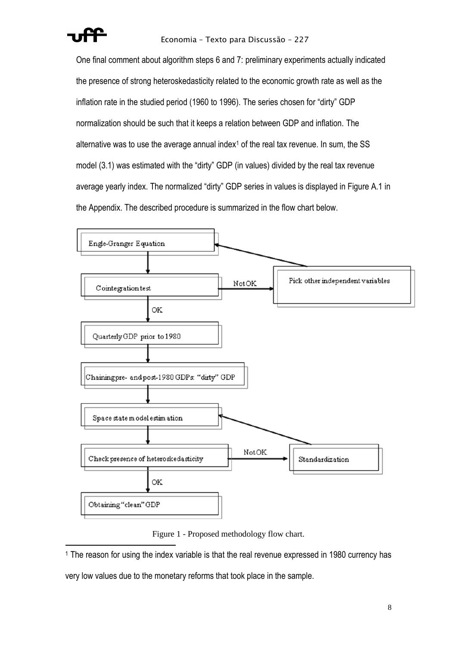

One final comment about algorithm steps 6 and 7: preliminary experiments actually indicated the presence of strong heteroskedasticity related to the economic growth rate as well as the inflation rate in the studied period (1960 to 1996). The series chosen for "dirty" GDP normalization should be such that it keeps a relation between GDP and inflation. The alternative was to use the average annual index<sup>1</sup> of the real tax revenue. In sum, the  $SS$ model (3.1) was estimated with the "dirty" GDP (in values) divided by the real tax revenue average yearly index. The normalized "dirty" GDP series in values is displayed in Figure A.1 in the Appendix. The described procedure is summarized in the flow chart below.



Figure 1 - Proposed methodology flow chart.

<sup>1</sup> The reason for using the index variable is that the real revenue expressed in 1980 currency has

very low values due to the monetary reforms that took place in the sample.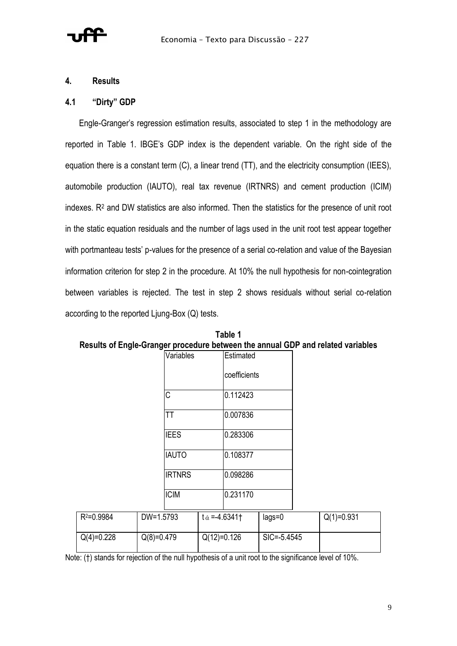### **4. Results**

### **4.1 "Dirty" GDP**

Engle-Granger's regression estimation results, associated to step 1 in the methodology are reported in Table 1. IBGE's GDP index is the dependent variable. On the right side of the equation there is a constant term (C), a linear trend (TT), and the electricity consumption (IEES), automobile production (IAUTO), real tax revenue (IRTNRS) and cement production (ICIM) indexes. R<sup>2</sup> and DW statistics are also informed. Then the statistics for the presence of unit root in the static equation residuals and the number of lags used in the unit root test appear together with portmanteau tests' p-values for the presence of a serial co-relation and value of the Bayesian information criterion for step 2 in the procedure. At 10% the null hypothesis for non-cointegration between variables is rejected. The test in step 2 shows residuals without serial co-relation according to the reported Ljung-Box (Q) tests.

|                | Variables     |                      | Estimated       |              |
|----------------|---------------|----------------------|-----------------|--------------|
|                |               |                      | coefficients    |              |
|                | C             |                      | 0.112423        |              |
|                | TT            |                      | 0.007836        |              |
|                | <b>IEES</b>   |                      | 0.283306        |              |
|                | <b>IAUTO</b>  |                      | 0.108377        |              |
|                | <b>IRTNRS</b> |                      | 0.098286        |              |
|                | <b>ICIM</b>   |                      | 0.231170        |              |
| $R^2 = 0.9984$ | DW=1.5793     | $t \alpha = -4.6341$ | $lags=0$        | $Q(1)=0.931$ |
| $Q(4)=0.228$   | $Q(8)=0.479$  | $Q(12)=0.126$        | $SIC = -5.4545$ |              |

**Table 1 Results of Engle-Granger procedure between the annual GDP and related variables**

Note: (†) stands for rejection of the null hypothesis of a unit root to the significance level of 10%.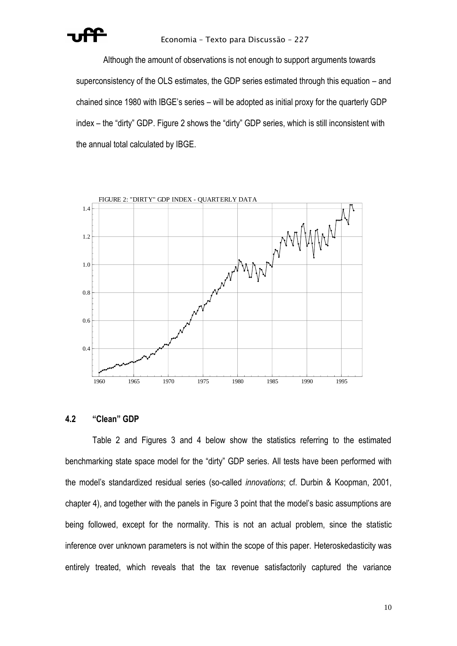

Although the amount of observations is not enough to support arguments towards superconsistency of the OLS estimates, the GDP series estimated through this equation – and chained since 1980 with IBGE's series – will be adopted as initial proxy for the quarterly GDP index – the "dirty" GDP. Figure 2 shows the "dirty" GDP series, which is still inconsistent with the annual total calculated by IBGE.



#### **4.2 "Clean" GDP**

Table 2 and Figures 3 and 4 below show the statistics referring to the estimated benchmarking state space model for the "dirty" GDP series. All tests have been performed with the model's standardized residual series (so-called *innovations*; cf. Durbin & Koopman, 2001, chapter 4), and together with the panels in Figure 3 point that the model's basic assumptions are being followed, except for the normality. This is not an actual problem, since the statistic inference over unknown parameters is not within the scope of this paper. Heteroskedasticity was entirely treated, which reveals that the tax revenue satisfactorily captured the variance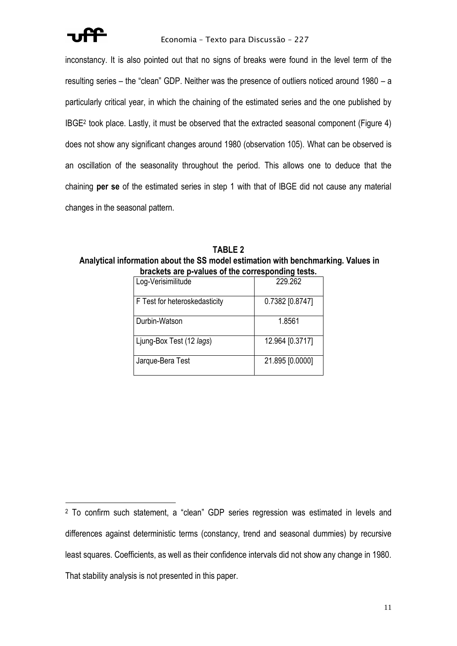inconstancy. It is also pointed out that no signs of breaks were found in the level term of the resulting series – the "clean" GDP. Neither was the presence of outliers noticed around 1980 – a particularly critical year, in which the chaining of the estimated series and the one published by IBGE<sup>2</sup> took place. Lastly, it must be observed that the extracted seasonal component (Figure 4) does not show any significant changes around 1980 (observation 105). What can be observed is an oscillation of the seasonality throughout the period. This allows one to deduce that the chaining **per se** of the estimated series in step 1 with that of IBGE did not cause any material changes in the seasonal pattern.

**TABLE 2 Analytical information about the SS model estimation with benchmarking. Values in brackets are p-values of the corresponding tests.**

| praencis are p-values or the corresponding tests. |                 |
|---------------------------------------------------|-----------------|
| Log-Verisimilitude                                | 229.262         |
| F Test for heteroskedasticity                     | 0.7382 [0.8747] |
| Durbin-Watson                                     | 1.8561          |
| Ljung-Box Test (12 lags)                          | 12.964 [0.3717] |
| Jarque-Bera Test                                  | 21.895 [0.0000] |

<sup>2</sup> To confirm such statement, a "clean" GDP series regression was estimated in levels and differences against deterministic terms (constancy, trend and seasonal dummies) by recursive least squares. Coefficients, as well as their confidence intervals did not show any change in 1980. That stability analysis is not presented in this paper.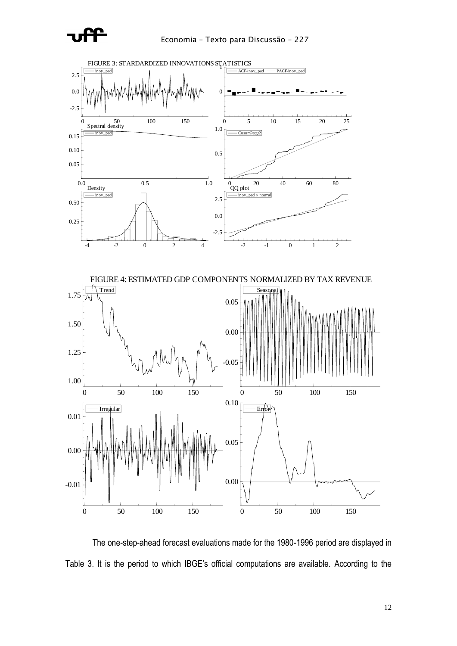



The one-step-ahead forecast evaluations made for the 1980-1996 period are displayed in Table 3. It is the period to which IBGE's official computations are available. According to the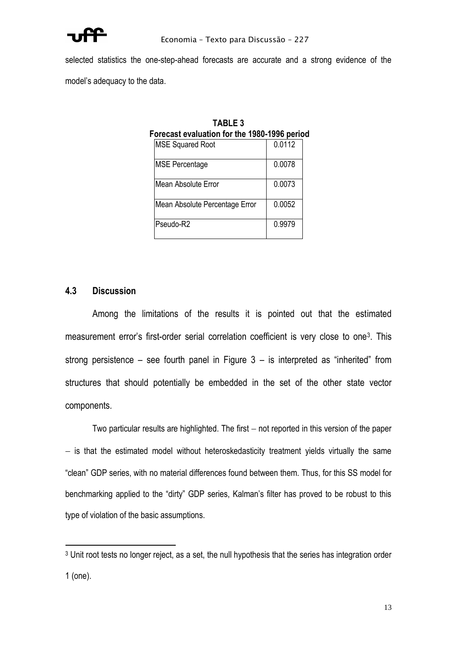

selected statistics the one-step-ahead forecasts are accurate and a strong evidence of the model's adequacy to the data.

| Forecast evaluation for the 1980-1996 perio |                                |        |  |  |
|---------------------------------------------|--------------------------------|--------|--|--|
|                                             | <b>MSE Squared Root</b>        | 0.0112 |  |  |
|                                             | <b>MSE Percentage</b>          | 0.0078 |  |  |
|                                             | Mean Absolute Error            | 0.0073 |  |  |
|                                             | Mean Absolute Percentage Error | 0.0052 |  |  |
|                                             | Pseudo-R2                      | 0.9979 |  |  |

**TABLE 3 Forecast evaluation for the 1980-1996 period**

### **4.3 Discussion**

Among the limitations of the results it is pointed out that the estimated measurement error's first-order serial correlation coefficient is very close to one<sup>3</sup>. This strong persistence – see fourth panel in Figure  $3 -$  is interpreted as "inherited" from structures that should potentially be embedded in the set of the other state vector components.

Two particular results are highlighted. The first – not reported in this version of the paper − is that the estimated model without heteroskedasticity treatment yields virtually the same "clean" GDP series, with no material differences found between them. Thus, for this SS model for benchmarking applied to the "dirty" GDP series, Kalman's filter has proved to be robust to this type of violation of the basic assumptions.

<sup>3</sup> Unit root tests no longer reject, as a set, the null hypothesis that the series has integration order 1 (one).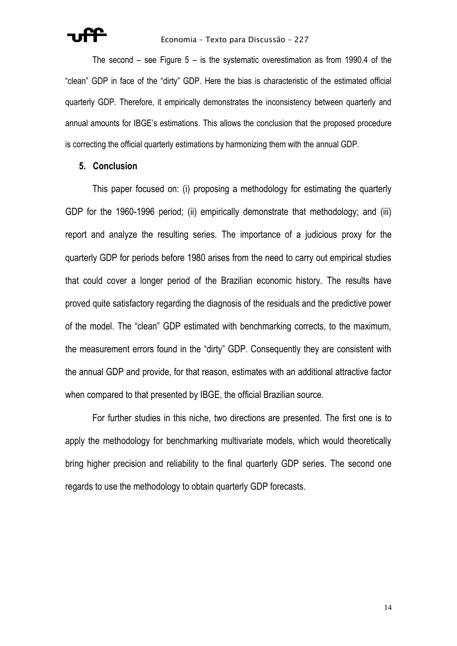The second – see Figure 5 – is the systematic overestimation as from 1990.4 of the "clean" GDP in face of the "dirty" GDP. Here the bias is characteristic of the estimated official quarterly GDP. Therefore, it empirically demonstrates the inconsistency between quarterly and annual amounts for IBGE's estimations. This allows the conclusion that the proposed procedure is correcting the official quarterly estimations by harmonizing them with the annual GDP.

#### **5. Conclusion**

This paper focused on: (i) proposing a methodology for estimating the quarterly GDP for the 1960-1996 period; (ii) empirically demonstrate that methodology; and (iii) report and analyze the resulting series. The importance of a judicious proxy for the quarterly GDP for periods before 1980 arises from the need to carry out empirical studies that could cover a longer period of the Brazilian economic history. The results have proved quite satisfactory regarding the diagnosis of the residuals and the predictive power of the model. The "clean" GDP estimated with benchmarking corrects, to the maximum, the measurement errors found in the "dirty" GDP. Consequently they are consistent with the annual GDP and provide, for that reason, estimates with an additional attractive factor when compared to that presented by IBGE, the official Brazilian source.

For further studies in this niche, two directions are presented. The first one is to apply the methodology for benchmarking multivariate models, which would theoretically bring higher precision and reliability to the final quarterly GDP series. The second one regards to use the methodology to obtain quarterly GDP forecasts.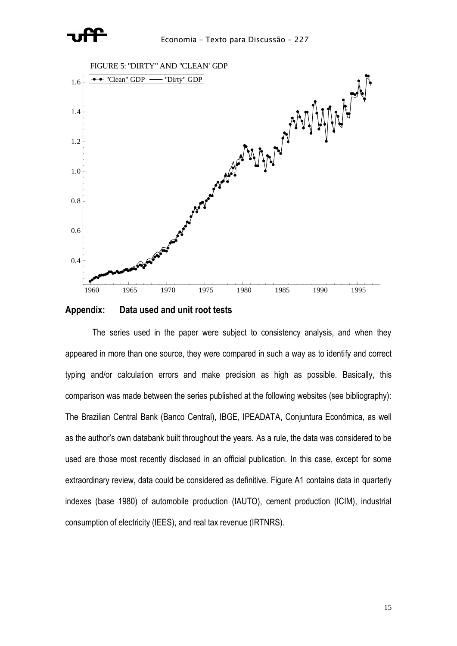



**Appendix: Data used and unit root tests**

The series used in the paper were subject to consistency analysis, and when they appeared in more than one source, they were compared in such a way as to identify and correct typing and/or calculation errors and make precision as high as possible. Basically, this comparison was made between the series published at the following websites (see bibliography): The Brazilian Central Bank (Banco Central), IBGE, IPEADATA, Conjuntura Econômica, as well as the author's own databank built throughout the years. As a rule, the data was considered to be used are those most recently disclosed in an official publication. In this case, except for some extraordinary review, data could be considered as definitive. Figure A1 contains data in quarterly indexes (base 1980) of automobile production (IAUTO), cement production (ICIM), industrial consumption of electricity (IEES), and real tax revenue (IRTNRS).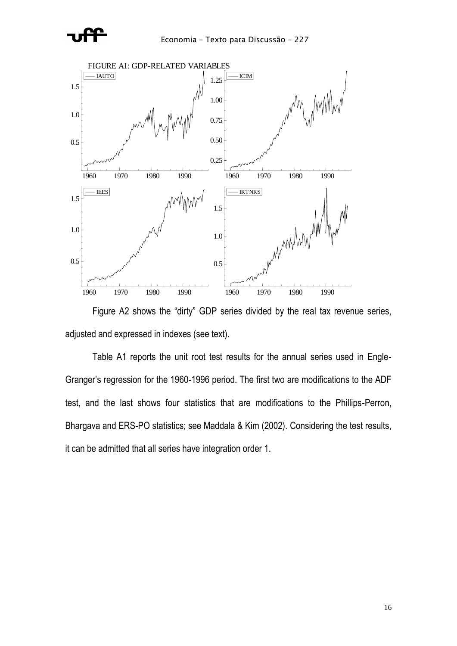



Figure A2 shows the "dirty" GDP series divided by the real tax revenue series, adjusted and expressed in indexes (see text).

Table A1 reports the unit root test results for the annual series used in Engle-Granger's regression for the 1960-1996 period. The first two are modifications to the ADF test, and the last shows four statistics that are modifications to the Phillips-Perron, Bhargava and ERS-PO statistics; see Maddala & Kim (2002). Considering the test results, it can be admitted that all series have integration order 1.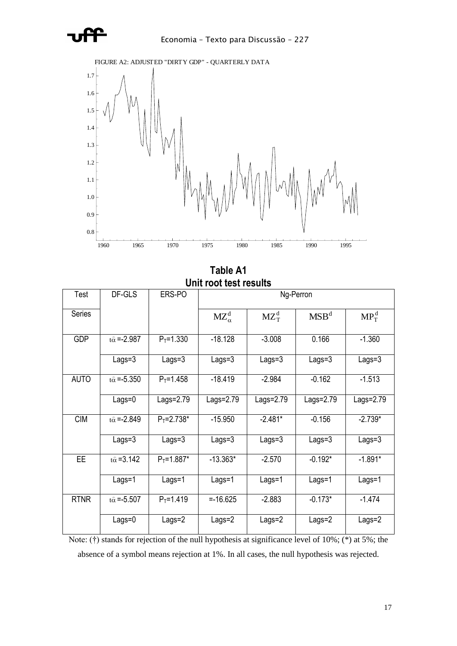



**Table A1 Unit root test results**

| Test          | DF-GLS                   | ERS-PO         | Ng-Perron       |            |                  |              |
|---------------|--------------------------|----------------|-----------------|------------|------------------|--------------|
| <b>Series</b> |                          |                | $MZ_{\alpha}^d$ | $MZ_T^d$   | MSB <sup>d</sup> | $MP_{T}^{d}$ |
| <b>GDP</b>    | $t\hat{\alpha} = -2.987$ | $P_T = 1.330$  | $-18.128$       | $-3.008$   | 0.166            | $-1.360$     |
|               | $Lags = 3$               | Lags=3         | Lags=3          | $Lags = 3$ | Lags=3           | $Lags = 3$   |
| <b>AUTO</b>   | $t\hat{\alpha} = -5.350$ | $P_T = 1.458$  | $-18.419$       | $-2.984$   | $-0.162$         | $-1.513$     |
|               | $Lags = 0$               | Lags= $2.79$   | Lags=2.79       | Lags=2.79  | Lags=2.79        | Lags=2.79    |
| <b>CIM</b>    | $t\hat{\alpha} = -2.849$ | $P_T = 2.738*$ | $-15.950$       | $-2.481*$  | $-0.156$         | $-2.739*$    |
|               | $Lags = 3$               | Lags=3         | Lags=3          | Lags=3     | $Lags = 3$       | $Lags = 3$   |
| EE            | $t\hat{\alpha} = 3.142$  | $P_T = 1.887*$ | $-13.363*$      | $-2.570$   | $-0.192*$        | $-1.891*$    |
|               | $Lags = 1$               | $Lags = 1$     | $Lags = 1$      | Lags=1     | Lags=1           | $Lags = 1$   |
| <b>RTNR</b>   | $t\hat{\alpha} = -5.507$ | $P_T = 1.419$  | $= -16.625$     | $-2.883$   | $-0.173*$        | $-1.474$     |
|               | $Lags = 0$               | $Lags = 2$     | Lags=2          | Lags=2     | Lags=2           | Lags=2       |

Note: (†) stands for rejection of the null hypothesis at significance level of 10%; (\*) at 5%; the absence of a symbol means rejection at 1%. In all cases, the null hypothesis was rejected.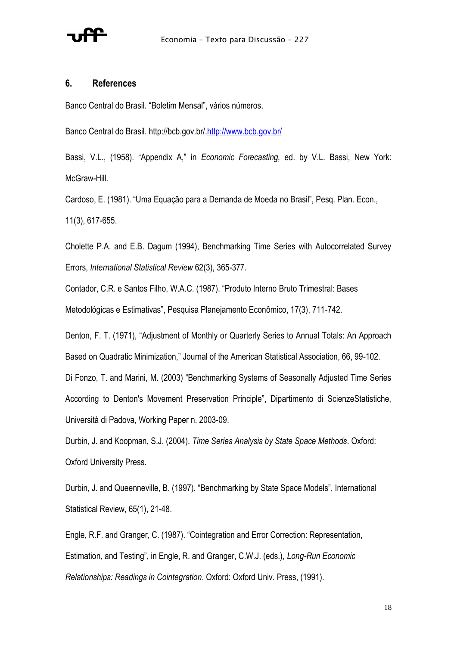

#### **6. References**

Banco Central do Brasil. "Boletim Mensal", vários números.

Banco Central do Brasil. http://bcb.gov.br/[.http://www.bcb.gov.br/](http://www.bcb.gov.br/)

Bassi, V.L., (1958). "Appendix A," in *Economic Forecasting,* ed. by V.L. Bassi, New York: McGraw-Hill.

Cardoso, E. (1981). "Uma Equação para a Demanda de Moeda no Brasil", Pesq. Plan. Econ., 11(3), 617-655.

Cholette P.A. and E.B. Dagum (1994), Benchmarking Time Series with Autocorrelated Survey Errors, *International Statistical Review* 62(3), 365-377.

Contador, C.R. e Santos Filho, W.A.C. (1987). "Produto Interno Bruto Trimestral: Bases Metodológicas e Estimativas", Pesquisa Planejamento Econômico, 17(3), 711-742.

Denton, F. T. (1971), "Adjustment of Monthly or Quarterly Series to Annual Totals: An Approach Based on Quadratic Minimization," Journal of the American Statistical Association, 66, 99-102. Di Fonzo, T. and Marini, M. (2003) "Benchmarking Systems of Seasonally Adjusted Time Series

According to Denton's Movement Preservation Principle", Dipartimento di ScienzeStatistiche, Università di Padova, Working Paper n. 2003-09.

Durbin, J. and Koopman, S.J. (2004). *Time Series Analysis by State Space Methods*. Oxford: Oxford University Press.

Durbin, J. and Queenneville, B. (1997). "Benchmarking by State Space Models", International Statistical Review, 65(1), 21-48.

Engle, R.F. and Granger, C. (1987). "Cointegration and Error Correction: Representation, Estimation, and Testing", in Engle, R. and Granger, C.W.J. (eds.), *Long-Run Economic Relationships: Readings in Cointegration*. Oxford: Oxford Univ. Press, (1991).